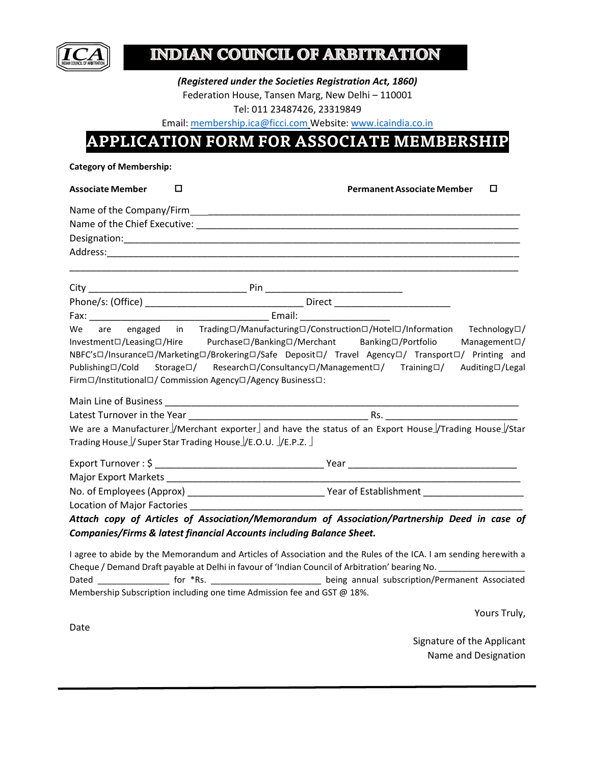

# **INDIAN COUNCIL OF ARBITRATION**

*(Registered under the Societies Registration Act, 1860)* Federation House, Tansen Marg, New Delhi – 110001 Tel: 011 23487426, 23319849

Email[: membership.ica@ficci.com](mailto:membership.ica@ficci.com) Website: [www.icaindia.co.in](http://www.icaindia.co.in/)

## **APPLICATION FORM FOR ASSOCIATE MEMBERSHIP**

**Category of Membership:**

| <b>Associate Member</b>                                                              | $\Box$ | <b>Permanent Associate Member</b>                                                                                                                                                                                                                                                                                                                | □                      |
|--------------------------------------------------------------------------------------|--------|--------------------------------------------------------------------------------------------------------------------------------------------------------------------------------------------------------------------------------------------------------------------------------------------------------------------------------------------------|------------------------|
|                                                                                      |        |                                                                                                                                                                                                                                                                                                                                                  |                        |
|                                                                                      |        |                                                                                                                                                                                                                                                                                                                                                  |                        |
|                                                                                      |        |                                                                                                                                                                                                                                                                                                                                                  |                        |
|                                                                                      |        |                                                                                                                                                                                                                                                                                                                                                  |                        |
|                                                                                      |        |                                                                                                                                                                                                                                                                                                                                                  |                        |
|                                                                                      |        |                                                                                                                                                                                                                                                                                                                                                  |                        |
|                                                                                      |        |                                                                                                                                                                                                                                                                                                                                                  |                        |
| We<br>Publishing□/Cold<br>Firm□/Institutional□/ Commission Agency□/Agency Business□: |        | are engaged in Trading□/Manufacturing□/Construction□/Hotel□/Information Technology□/<br>Investment□/Leasing□/Hire Purchase□/Banking□/Merchant Banking□/Portfolio<br>NBFC's□/Insurance□/Marketing□/Brokering□/Safe Deposit□/ Travel Agency□/ Transport□/ Printing and<br>Storage□/ Research□/Consultancy□/Management□/ Training□/ Auditing□/Legal | Management $\square$ / |
|                                                                                      |        |                                                                                                                                                                                                                                                                                                                                                  |                        |
|                                                                                      |        |                                                                                                                                                                                                                                                                                                                                                  |                        |
| Trading House / Super Star Trading House / E.O.U. / E.P.Z.                           |        | We are a Manufacturer //Merchant exporter and have the status of an Export House //Trading House //Star                                                                                                                                                                                                                                          |                        |
|                                                                                      |        |                                                                                                                                                                                                                                                                                                                                                  |                        |
|                                                                                      |        |                                                                                                                                                                                                                                                                                                                                                  |                        |
|                                                                                      |        |                                                                                                                                                                                                                                                                                                                                                  |                        |
|                                                                                      |        | Location of Major Factories <b>Manual According to the Contract of Major Factories</b>                                                                                                                                                                                                                                                           |                        |
|                                                                                      |        | Attach copy of Articles of Association/Memorandum of Association/Partnership Deed in case of                                                                                                                                                                                                                                                     |                        |
|                                                                                      |        | Companies/Firms & latest financial Accounts including Balance Sheet.                                                                                                                                                                                                                                                                             |                        |
|                                                                                      |        | I agree to abide by the Memorandum and Articles of Association and the Rules of the ICA. I am sending herewith a<br>Cheque / Demand Draft payable at Delhi in favour of 'Indian Council of Arbitration' bearing No. _________________                                                                                                            |                        |

Dated \_\_\_\_\_\_\_\_\_\_\_\_\_\_\_\_\_ for \*Rs. \_\_\_\_\_\_\_\_\_\_\_\_\_\_\_\_\_\_\_\_\_\_\_\_\_\_\_\_\_\_\_being annual subscription/Permanent Associated Membership Subscription including one time Admission fee and GST @ 18%.

Yours Truly,

Date

Signature of the Applicant Name and Designation